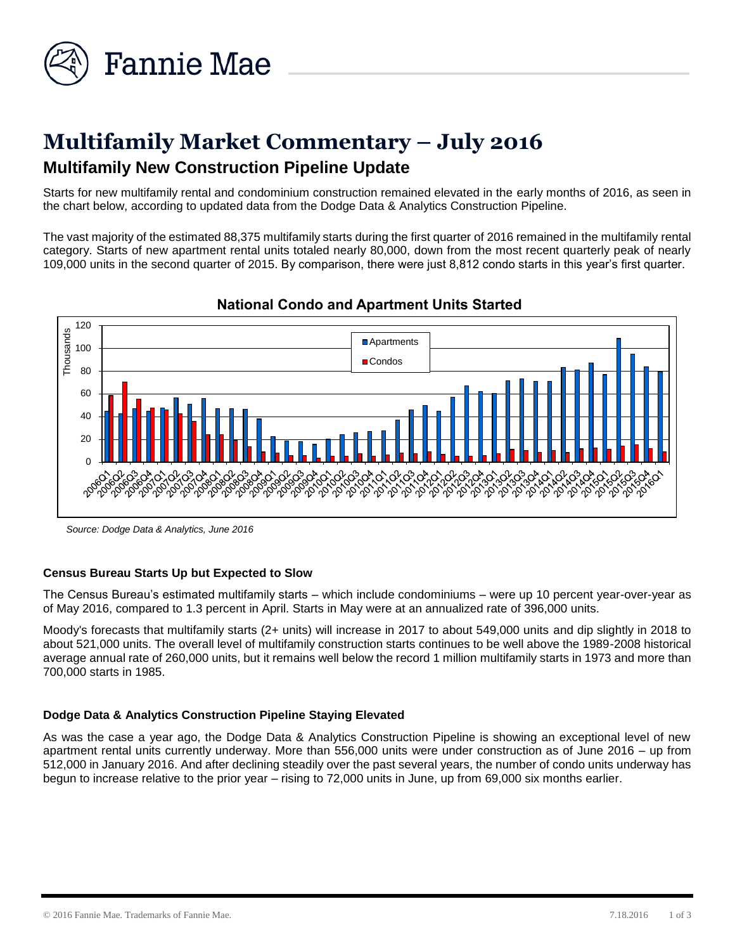

# **Multifamily Market Commentary – July 2016 Multifamily New Construction Pipeline Update**

Starts for new multifamily rental and condominium construction remained elevated in the early months of 2016, as seen in the chart below, according to updated data from the Dodge Data & Analytics Construction Pipeline.

The vast majority of the estimated 88,375 multifamily starts during the first quarter of 2016 remained in the multifamily rental category. Starts of new apartment rental units totaled nearly 80,000, down from the most recent quarterly peak of nearly 109,000 units in the second quarter of 2015. By comparison, there were just 8,812 condo starts in this year's first quarter.



# **National Condo and Apartment Units Started**

*Source: Dodge Data & Analytics, June 2016*

## **Census Bureau Starts Up but Expected to Slow**

The Census Bureau's estimated multifamily starts – which include condominiums – were up 10 percent year-over-year as of May 2016, compared to 1.3 percent in April. Starts in May were at an annualized rate of 396,000 units.

Moody's forecasts that multifamily starts (2+ units) will increase in 2017 to about 549,000 units and dip slightly in 2018 to about 521,000 units. The overall level of multifamily construction starts continues to be well above the 1989-2008 historical average annual rate of 260,000 units, but it remains well below the record 1 million multifamily starts in 1973 and more than 700,000 starts in 1985.

## **Dodge Data & Analytics Construction Pipeline Staying Elevated**

As was the case a year ago, the Dodge Data & Analytics Construction Pipeline is showing an exceptional level of new apartment rental units currently underway. More than 556,000 units were under construction as of June 2016 – up from 512,000 in January 2016. And after declining steadily over the past several years, the number of condo units underway has begun to increase relative to the prior year – rising to 72,000 units in June, up from 69,000 six months earlier.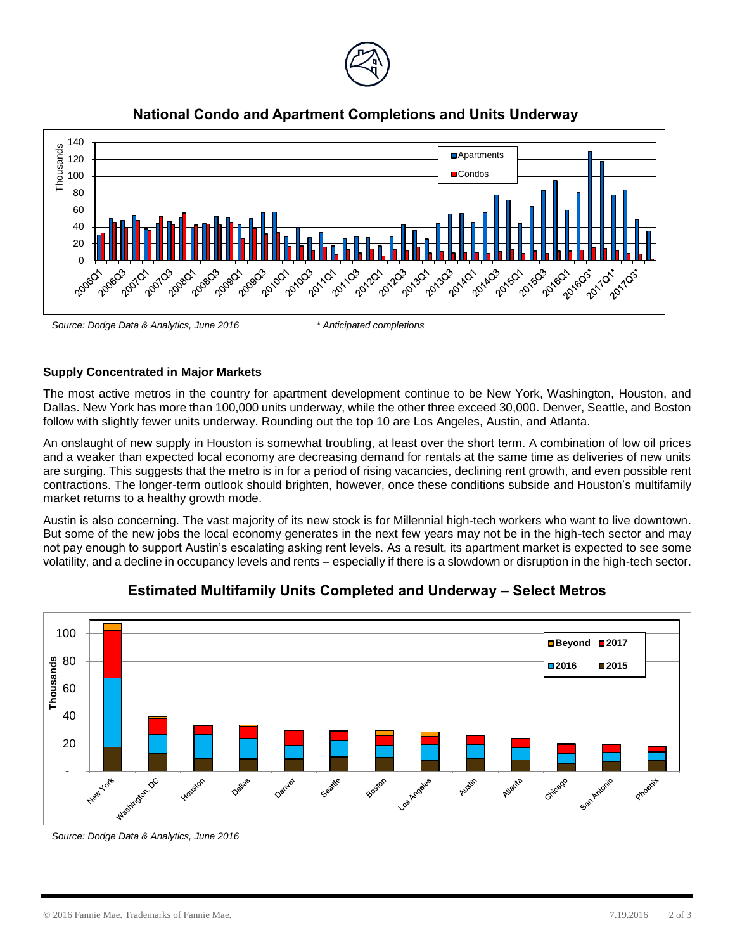





## **Supply Concentrated in Major Markets**

The most active metros in the country for apartment development continue to be New York, Washington, Houston, and Dallas. New York has more than 100,000 units underway, while the other three exceed 30,000. Denver, Seattle, and Boston follow with slightly fewer units underway. Rounding out the top 10 are Los Angeles, Austin, and Atlanta.

An onslaught of new supply in Houston is somewhat troubling, at least over the short term. A combination of low oil prices and a weaker than expected local economy are decreasing demand for rentals at the same time as deliveries of new units are surging. This suggests that the metro is in for a period of rising vacancies, declining rent growth, and even possible rent contractions. The longer-term outlook should brighten, however, once these conditions subside and Houston's multifamily market returns to a healthy growth mode.

Austin is also concerning. The vast majority of its new stock is for Millennial high-tech workers who want to live downtown. But some of the new jobs the local economy generates in the next few years may not be in the high-tech sector and may not pay enough to support Austin's escalating asking rent levels. As a result, its apartment market is expected to see some volatility, and a decline in occupancy levels and rents – especially if there is a slowdown or disruption in the high-tech sector.



# **Estimated Multifamily Units Completed and Underway – Select Metros**

*Source: Dodge Data & Analytics, June 2016*